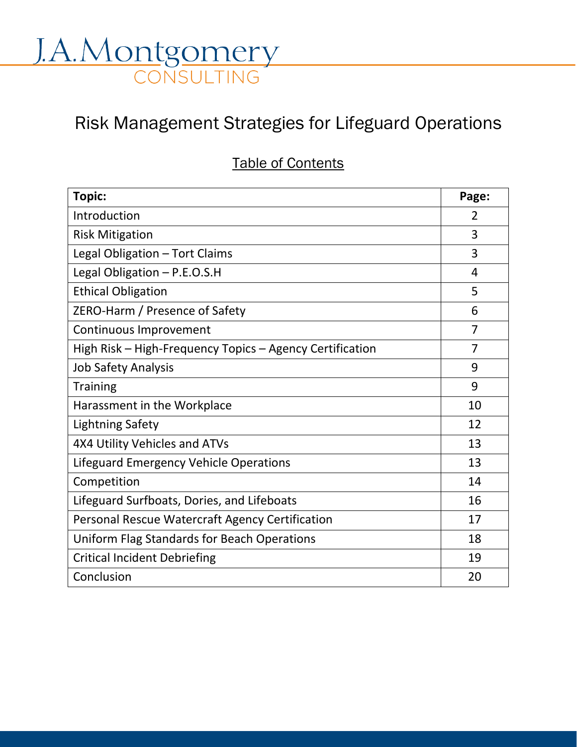# J.A.Montgomery

# Risk Management Strategies for Lifeguard Operations

## Table of Contents

| <b>Topic:</b>                                            | Page:          |
|----------------------------------------------------------|----------------|
| Introduction                                             | $\overline{2}$ |
| <b>Risk Mitigation</b>                                   | 3              |
| Legal Obligation - Tort Claims                           | 3              |
| Legal Obligation - P.E.O.S.H                             | 4              |
| <b>Ethical Obligation</b>                                | 5              |
| ZERO-Harm / Presence of Safety                           | 6              |
| Continuous Improvement                                   | 7              |
| High Risk – High-Frequency Topics – Agency Certification | 7              |
| <b>Job Safety Analysis</b>                               | 9              |
| <b>Training</b>                                          | 9              |
| Harassment in the Workplace                              | 10             |
| <b>Lightning Safety</b>                                  | 12             |
| 4X4 Utility Vehicles and ATVs                            | 13             |
| Lifeguard Emergency Vehicle Operations                   | 13             |
| Competition                                              | 14             |
| Lifeguard Surfboats, Dories, and Lifeboats               | 16             |
| Personal Rescue Watercraft Agency Certification          | 17             |
| Uniform Flag Standards for Beach Operations              | 18             |
| <b>Critical Incident Debriefing</b>                      | 19             |
| Conclusion                                               | 20             |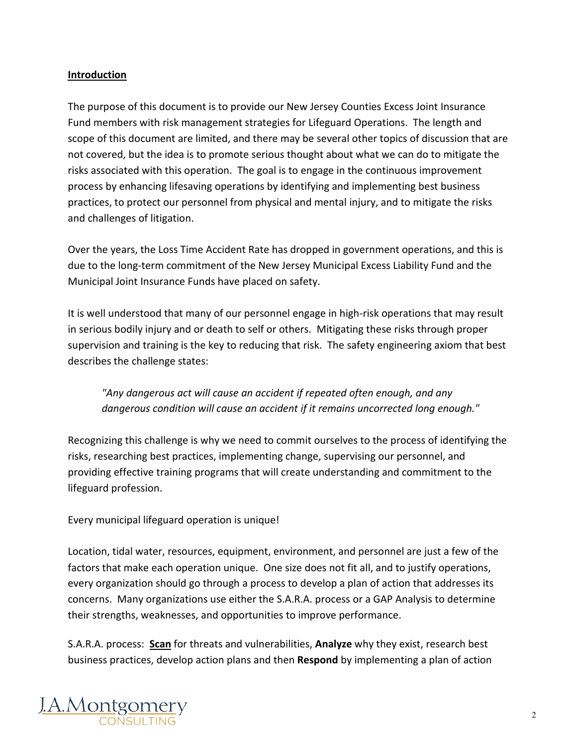#### **Introduction**

The purpose of this document is to provide our New Jersey Counties Excess Joint Insurance Fund members with risk management strategies for Lifeguard Operations. The length and scope of this document are limited, and there may be several other topics of discussion that are not covered, but the idea is to promote serious thought about what we can do to mitigate the risks associated with this operation. The goal is to engage in the continuous improvement process by enhancing lifesaving operations by identifying and implementing best business practices, to protect our personnel from physical and mental injury, and to mitigate the risks and challenges of litigation.

Over the years, the Loss Time Accident Rate has dropped in government operations, and this is due to the long-term commitment of the New Jersey Municipal Excess Liability Fund and the Municipal Joint Insurance Funds have placed on safety.

It is well understood that many of our personnel engage in high-risk operations that may result in serious bodily injury and or death to self or others. Mitigating these risks through proper supervision and training is the key to reducing that risk. The safety engineering axiom that best describes the challenge states:

*"Any dangerous act will cause an accident if repeated often enough, and any dangerous condition will cause an accident if it remains uncorrected long enough."*

Recognizing this challenge is why we need to commit ourselves to the process of identifying the risks, researching best practices, implementing change, supervising our personnel, and providing effective training programs that will create understanding and commitment to the lifeguard profession.

Every municipal lifeguard operation is unique!

Location, tidal water, resources, equipment, environment, and personnel are just a few of the factors that make each operation unique. One size does not fit all, and to justify operations, every organization should go through a process to develop a plan of action that addresses its concerns. Many organizations use either the S.A.R.A. process or a GAP Analysis to determine their strengths, weaknesses, and opportunities to improve performance.

S.A.R.A. process: **Scan** for threats and vulnerabilities, **Analyze** why they exist, research best business practices, develop action plans and then **Respond** by implementing a plan of action

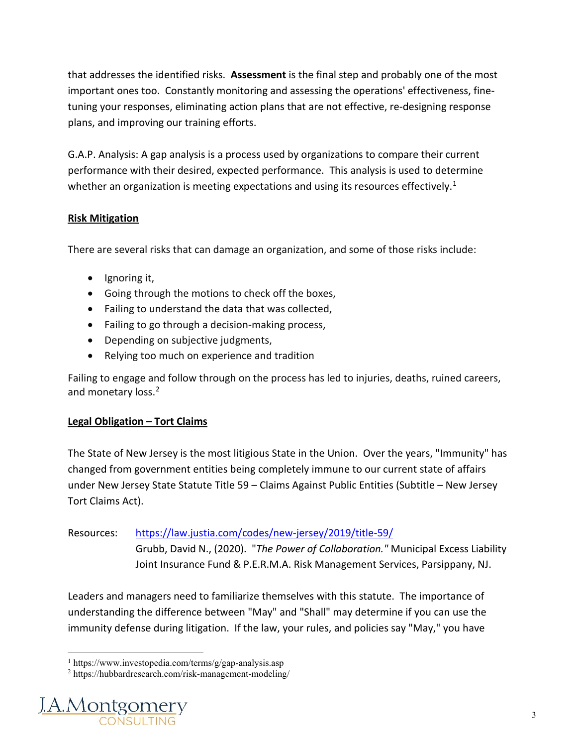that addresses the identified risks. **Assessment** is the final step and probably one of the most important ones too. Constantly monitoring and assessing the operations' effectiveness, finetuning your responses, eliminating action plans that are not effective, re-designing response plans, and improving our training efforts.

G.A.P. Analysis: A gap analysis is a process used by organizations to compare their current performance with their desired, expected performance. This analysis is used to determine whether an organization is meeting expectations and using its resources effectively.<sup>[1](#page-2-0)</sup>

#### **Risk Mitigation**

There are several risks that can damage an organization, and some of those risks include:

- Ignoring it,
- Going through the motions to check off the boxes,
- Failing to understand the data that was collected,
- Failing to go through a decision-making process,
- Depending on subjective judgments,
- Relying too much on experience and tradition

Failing to engage and follow through on the process has led to injuries, deaths, ruined careers, and monetary loss.<sup>[2](#page-2-1)</sup>

#### **Legal Obligation – Tort Claims**

The State of New Jersey is the most litigious State in the Union. Over the years, "Immunity" has changed from government entities being completely immune to our current state of affairs under New Jersey State Statute Title 59 – Claims Against Public Entities (Subtitle – New Jersey Tort Claims Act).

### Resources: <https://law.justia.com/codes/new-jersey/2019/title-59/>

Grubb, David N., (2020). "*The Power of Collaboration."* Municipal Excess Liability Joint Insurance Fund & P.E.R.M.A. Risk Management Services, Parsippany, NJ.

Leaders and managers need to familiarize themselves with this statute. The importance of understanding the difference between "May" and "Shall" may determine if you can use the immunity defense during litigation. If the law, your rules, and policies say "May," you have

<span id="page-2-1"></span><span id="page-2-0"></span><sup>2</sup> https://hubbardresearch.com/risk-management-modeling/



<sup>1</sup> https://www.investopedia.com/terms/g/gap-analysis.asp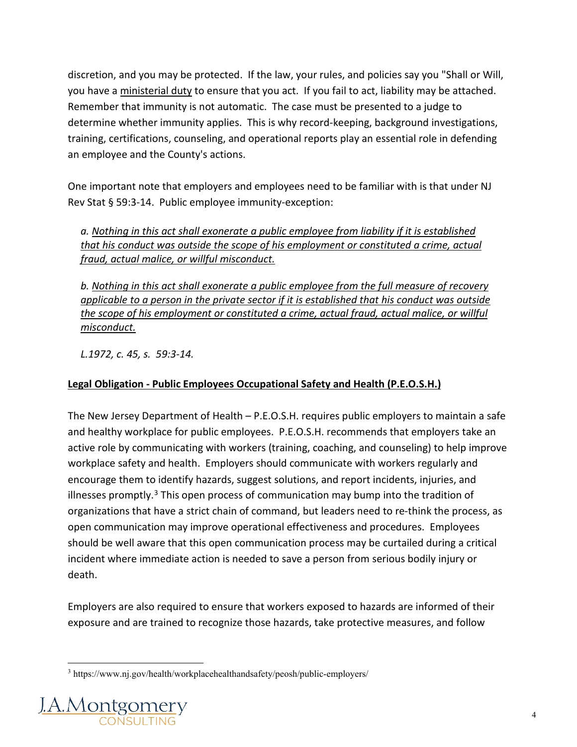discretion, and you may be protected. If the law, your rules, and policies say you "Shall or Will, you have a ministerial duty to ensure that you act. If you fail to act, liability may be attached. Remember that immunity is not automatic. The case must be presented to a judge to determine whether immunity applies. This is why record-keeping, background investigations, training, certifications, counseling, and operational reports play an essential role in defending an employee and the County's actions.

One important note that employers and employees need to be familiar with is that under NJ Rev Stat § 59:3-14. Public employee immunity-exception:

*a. Nothing in this act shall exonerate a public employee from liability if it is established that his conduct was outside the scope of his employment or constituted a crime, actual fraud, actual malice, or willful misconduct.*

*b. Nothing in this act shall exonerate a public employee from the full measure of recovery applicable to a person in the private sector if it is established that his conduct was outside the scope of his employment or constituted a crime, actual fraud, actual malice, or willful misconduct.*

*L.1972, c. 45, s. 59:3-14.*

#### **Legal Obligation - Public Employees Occupational Safety and Health (P.E.O.S.H.)**

The New Jersey Department of Health – P.E.O.S.H. requires public employers to maintain a safe and healthy workplace for public employees. P.E.O.S.H. recommends that employers take an active role by communicating with workers (training, coaching, and counseling) to help improve workplace safety and health. Employers should communicate with workers regularly and encourage them to identify hazards, suggest solutions, and report incidents, injuries, and illnesses promptly.<sup>[3](#page-3-0)</sup> This open process of communication may bump into the tradition of organizations that have a strict chain of command, but leaders need to re-think the process, as open communication may improve operational effectiveness and procedures. Employees should be well aware that this open communication process may be curtailed during a critical incident where immediate action is needed to save a person from serious bodily injury or death.

Employers are also required to ensure that workers exposed to hazards are informed of their exposure and are trained to recognize those hazards, take protective measures, and follow

<span id="page-3-0"></span><sup>3</sup> https://www.nj.gov/health/workplacehealthandsafety/peosh/public-employers/

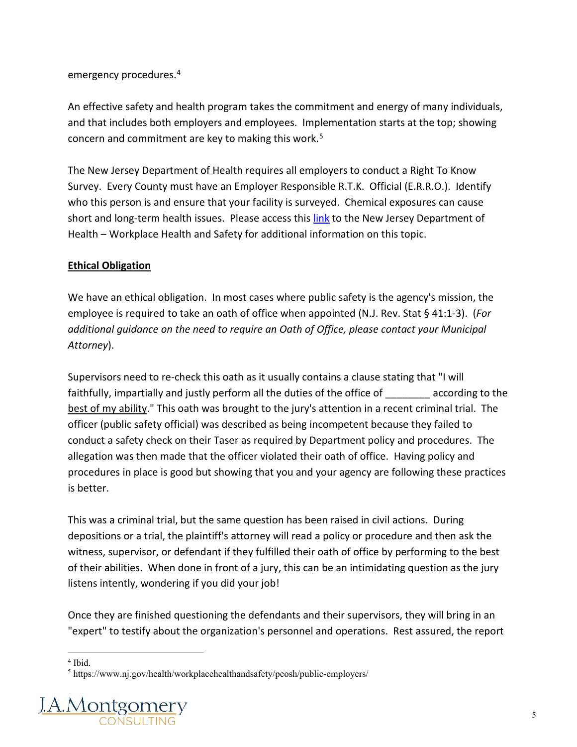emergency procedures.[4](#page-4-0)

An effective safety and health program takes the commitment and energy of many individuals, and that includes both employers and employees. Implementation starts at the top; showing concern and commitment are key to making this work.[5](#page-4-1)

The New Jersey Department of Health requires all employers to conduct a Right To Know Survey. Every County must have an Employer Responsible R.T.K. Official (E.R.R.O.). Identify who this person is and ensure that your facility is surveyed. Chemical exposures can cause short and long-term health issues. Please access this [link](https://nj.gov/health/workplacehealthandsafety/right-to-know/#:%7E:text=The%20New%20Jersey%20Worker%20and,hazardous%20substances%20at%20their%20workplaces.) to the New Jersey Department of Health – Workplace Health and Safety for additional information on this topic.

#### **Ethical Obligation**

We have an ethical obligation. In most cases where public safety is the agency's mission, the employee is required to take an oath of office when appointed (N.J. Rev. Stat § 41:1-3). (*For additional guidance on the need to require an Oath of Office, please contact your Municipal Attorney*).

Supervisors need to re-check this oath as it usually contains a clause stating that "I will faithfully, impartially and justly perform all the duties of the office of according to the best of my ability." This oath was brought to the jury's attention in a recent criminal trial. The officer (public safety official) was described as being incompetent because they failed to conduct a safety check on their Taser as required by Department policy and procedures. The allegation was then made that the officer violated their oath of office. Having policy and procedures in place is good but showing that you and your agency are following these practices is better.

This was a criminal trial, but the same question has been raised in civil actions. During depositions or a trial, the plaintiff's attorney will read a policy or procedure and then ask the witness, supervisor, or defendant if they fulfilled their oath of office by performing to the best of their abilities. When done in front of a jury, this can be an intimidating question as the jury listens intently, wondering if you did your job!

Once they are finished questioning the defendants and their supervisors, they will bring in an "expert" to testify about the organization's personnel and operations. Rest assured, the report

<span id="page-4-1"></span><span id="page-4-0"></span><sup>5</sup> https://www.nj.gov/health/workplacehealthandsafety/peosh/public-employers/



 $4$  Ibid.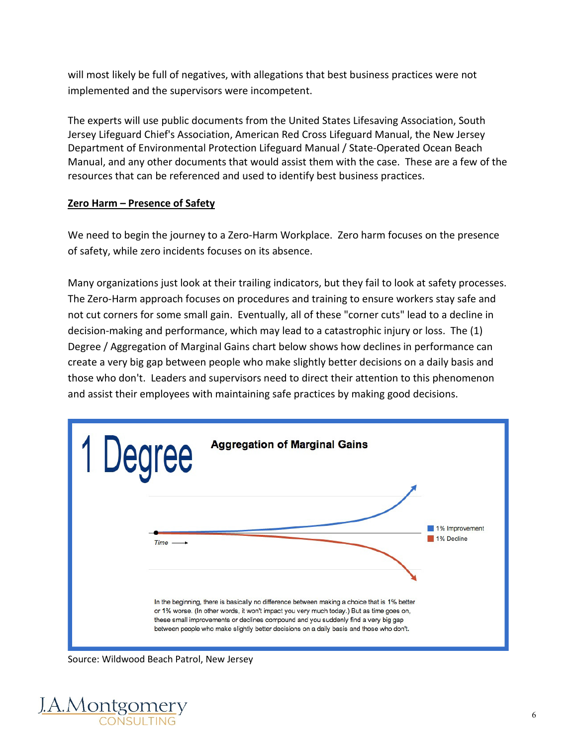will most likely be full of negatives, with allegations that best business practices were not implemented and the supervisors were incompetent.

The experts will use public documents from the United States Lifesaving Association, South Jersey Lifeguard Chief's Association, American Red Cross Lifeguard Manual, the New Jersey Department of Environmental Protection Lifeguard Manual / State-Operated Ocean Beach Manual, and any other documents that would assist them with the case. These are a few of the resources that can be referenced and used to identify best business practices.

#### **Zero Harm – Presence of Safety**

We need to begin the journey to a Zero-Harm Workplace. Zero harm focuses on the presence of safety, while zero incidents focuses on its absence.

Many organizations just look at their trailing indicators, but they fail to look at safety processes. The Zero-Harm approach focuses on procedures and training to ensure workers stay safe and not cut corners for some small gain. Eventually, all of these "corner cuts" lead to a decline in decision-making and performance, which may lead to a catastrophic injury or loss. The (1) Degree / Aggregation of Marginal Gains chart below shows how declines in performance can create a very big gap between people who make slightly better decisions on a daily basis and those who don't. Leaders and supervisors need to direct their attention to this phenomenon and assist their employees with maintaining safe practices by making good decisions.



Source: Wildwood Beach Patrol, New Jersey

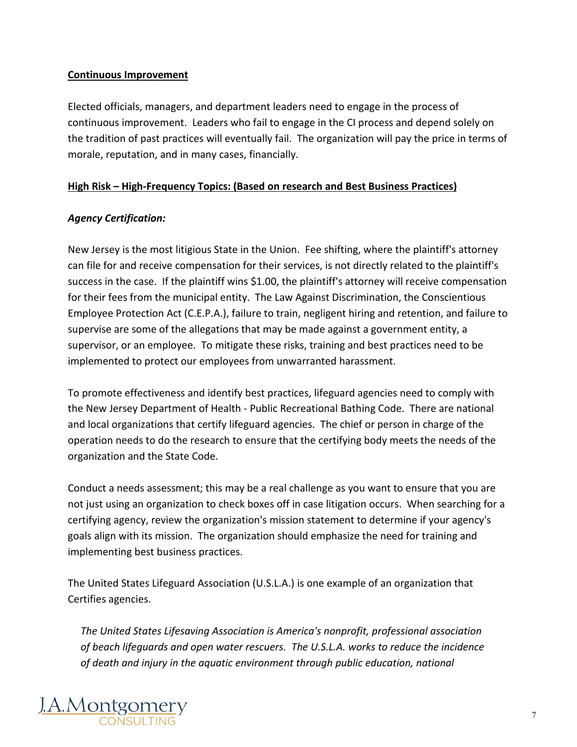#### **Continuous Improvement**

Elected officials, managers, and department leaders need to engage in the process of continuous improvement. Leaders who fail to engage in the CI process and depend solely on the tradition of past practices will eventually fail. The organization will pay the price in terms of morale, reputation, and in many cases, financially.

#### **High Risk – High-Frequency Topics: (Based on research and Best Business Practices)**

#### *Agency Certification:*

New Jersey is the most litigious State in the Union. Fee shifting, where the plaintiff's attorney can file for and receive compensation for their services, is not directly related to the plaintiff's success in the case. If the plaintiff wins \$1.00, the plaintiff's attorney will receive compensation for their fees from the municipal entity. The Law Against Discrimination, the Conscientious Employee Protection Act (C.E.P.A.), failure to train, negligent hiring and retention, and failure to supervise are some of the allegations that may be made against a government entity, a supervisor, or an employee. To mitigate these risks, training and best practices need to be implemented to protect our employees from unwarranted harassment.

To promote effectiveness and identify best practices, lifeguard agencies need to comply with the New Jersey Department of Health - Public Recreational Bathing Code. There are national and local organizations that certify lifeguard agencies. The chief or person in charge of the operation needs to do the research to ensure that the certifying body meets the needs of the organization and the State Code.

Conduct a needs assessment; this may be a real challenge as you want to ensure that you are not just using an organization to check boxes off in case litigation occurs. When searching for a certifying agency, review the organization's mission statement to determine if your agency's goals align with its mission. The organization should emphasize the need for training and implementing best business practices.

The United States Lifeguard Association (U.S.L.A.) is one example of an organization that Certifies agencies.

*The United States Lifesaving Association is America's nonprofit, professional association of beach lifeguards and open water rescuers. The U.S.L.A. works to reduce the incidence of death and injury in the aquatic environment through public education, national* 

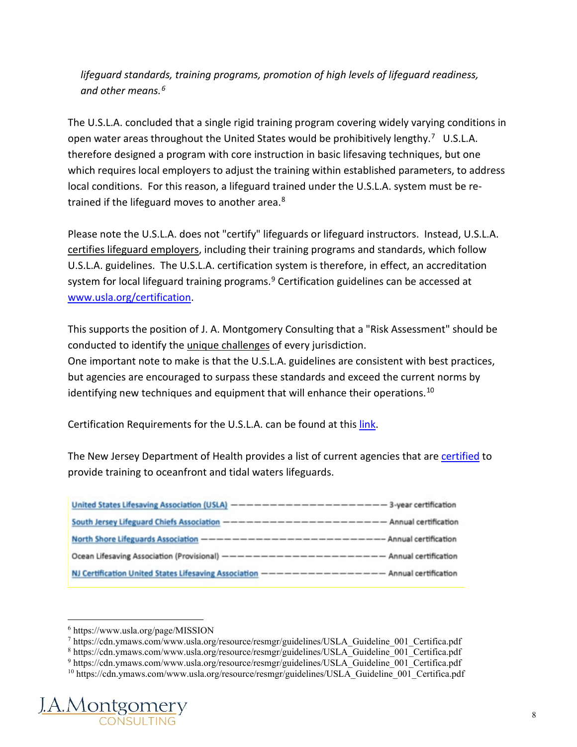*lifeguard standards, training programs, promotion of high levels of lifeguard readiness, and other means.[6](#page-7-0)*

The U.S.L.A. concluded that a single rigid training program covering widely varying conditions in open water areas throughout the United States would be prohibitively lengthy.<sup>7</sup> U.S.L.A. therefore designed a program with core instruction in basic lifesaving techniques, but one which requires local employers to adjust the training within established parameters, to address local conditions. For this reason, a lifeguard trained under the U.S.L.A. system must be re-trained if the lifeguard moves to another area.<sup>[8](#page-7-2)</sup>

Please note the U.S.L.A. does not "certify" lifeguards or lifeguard instructors. Instead, U.S.L.A. certifies lifeguard employers, including their training programs and standards, which follow U.S.L.A. guidelines. The U.S.L.A. certification system is therefore, in effect, an accreditation system for local lifeguard training programs.<sup>[9](#page-7-3)</sup> Certification guidelines can be accessed at [www.usla.org/certification.](http://www.usla.org/certification)

This supports the position of J. A. Montgomery Consulting that a "Risk Assessment" should be conducted to identify the unique challenges of every jurisdiction. One important note to make is that the U.S.L.A. guidelines are consistent with best practices, but agencies are encouraged to surpass these standards and exceed the current norms by identifying new techniques and equipment that will enhance their operations.<sup>[10](#page-7-4)</sup>

Certification Requirements for the U.S.L.A. can be found at this [link.](https://cdn.ymaws.com/www.usla.org/resource/resmgr/guidelines/USLA_Guideline_001_Certifica.pdf)

The New Jersey Department of Health provides a list of current agencies that are [certified](chrome-extension://efaidnbmnnnibpcajpcglclefindmkaj/viewer.html?pdfurl=https%3A%2F%2Fwww.nj.gov%2Fhealth%2Fceohs%2Fdocuments%2Fphss%2FRecCertList.pdf&clen=816745) to provide training to oceanfront and tidal waters lifeguards.

| United States Lifesaving Association (USLA) ---------------------------3-year certification     |  |
|-------------------------------------------------------------------------------------------------|--|
| South Jersey Lifeguard Chiefs Association ---------------------------- Annual certification     |  |
| North Shore Lifeguards Association ----------------------------Annual certification             |  |
|                                                                                                 |  |
| NJ Certification United States Lifesaving Association -------------------- Annual certification |  |

<span id="page-7-4"></span><span id="page-7-3"></span><span id="page-7-2"></span><span id="page-7-1"></span><span id="page-7-0"></span><sup>&</sup>lt;sup>10</sup> https://cdn.ymaws.com/www.usla.org/resource/resmgr/guidelines/USLA\_Guideline\_001\_Certifica.pdf



<sup>6</sup> https://www.usla.org/page/MISSION

<sup>7</sup> https://cdn.ymaws.com/www.usla.org/resource/resmgr/guidelines/USLA\_Guideline\_001\_Certifica.pdf

<sup>8</sup> https://cdn.ymaws.com/www.usla.org/resource/resmgr/guidelines/USLA\_Guideline\_001\_Certifica.pdf

<sup>&</sup>lt;sup>9</sup> https://cdn.ymaws.com/www.usla.org/resource/resmgr/guidelines/USLA Guideline 001 Certifica.pdf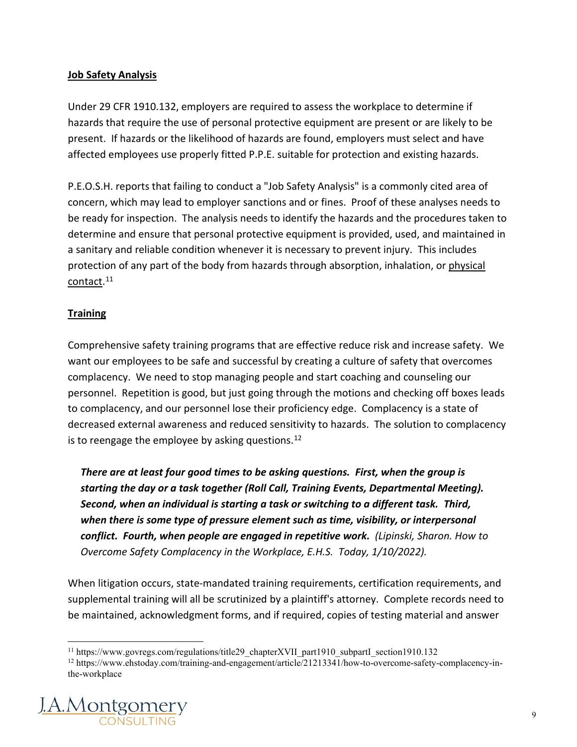#### **Job Safety Analysis**

Under 29 CFR 1910.132, employers are required to assess the workplace to determine if hazards that require the use of personal protective equipment are present or are likely to be present. If hazards or the likelihood of hazards are found, employers must select and have affected employees use properly fitted P.P.E. suitable for protection and existing hazards.

P.E.O.S.H. reports that failing to conduct a "Job Safety Analysis" is a commonly cited area of concern, which may lead to employer sanctions and or fines. Proof of these analyses needs to be ready for inspection. The analysis needs to identify the hazards and the procedures taken to determine and ensure that personal protective equipment is provided, used, and maintained in a sanitary and reliable condition whenever it is necessary to prevent injury. This includes protection of any part of the body from hazards through absorption, inhalation, or physical contact.<sup>[11](#page-8-0)</sup>

#### **Training**

Comprehensive safety training programs that are effective reduce risk and increase safety. We want our employees to be safe and successful by creating a culture of safety that overcomes complacency. We need to stop managing people and start coaching and counseling our personnel. Repetition is good, but just going through the motions and checking off boxes leads to complacency, and our personnel lose their proficiency edge. Complacency is a state of decreased external awareness and reduced sensitivity to hazards. The solution to complacency is to reengage the employee by asking questions.<sup>[12](#page-8-1)</sup>

*There are at least four good times to be asking questions. First, when the group is starting the day or a task together (Roll Call, Training Events, Departmental Meeting). Second, when an individual is starting a task or switching to a different task. Third, when there is some type of pressure element such as time, visibility, or interpersonal conflict. Fourth, when people are engaged in repetitive work. (Lipinski, Sharon. How to Overcome Safety Complacency in the Workplace, E.H.S. Today, 1/10/2022).*

When litigation occurs, state-mandated training requirements, certification requirements, and supplemental training will all be scrutinized by a plaintiff's attorney. Complete records need to be maintained, acknowledgment forms, and if required, copies of testing material and answer

<span id="page-8-1"></span><span id="page-8-0"></span><sup>12</sup> https://www.ehstoday.com/training-and-engagement/article/21213341/how-to-overcome-safety-complacency-inthe-workplace



<sup>&</sup>lt;sup>11</sup> https://www.govregs.com/regulations/title29\_chapterXVII\_part1910\_subpartI\_section1910.132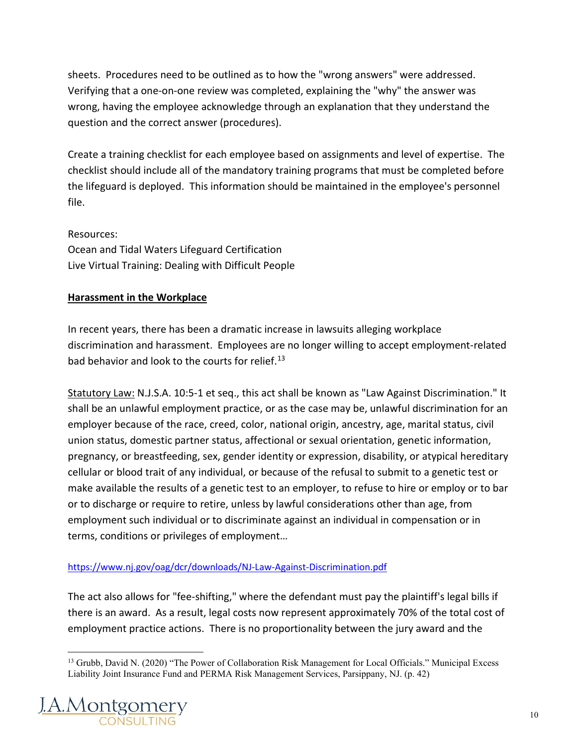sheets. Procedures need to be outlined as to how the "wrong answers" were addressed. Verifying that a one-on-one review was completed, explaining the "why" the answer was wrong, having the employee acknowledge through an explanation that they understand the question and the correct answer (procedures).

Create a training checklist for each employee based on assignments and level of expertise. The checklist should include all of the mandatory training programs that must be completed before the lifeguard is deployed. This information should be maintained in the employee's personnel file.

Resources: Ocean and Tidal Waters Lifeguard Certification Live Virtual Training: Dealing with Difficult People

#### **Harassment in the Workplace**

In recent years, there has been a dramatic increase in lawsuits alleging workplace discrimination and harassment. Employees are no longer willing to accept employment-related bad behavior and look to the courts for relief.<sup>[13](#page-9-0)</sup>

Statutory Law: N.J.S.A. 10:5-1 et seq., this act shall be known as "Law Against Discrimination." It shall be an unlawful employment practice, or as the case may be, unlawful discrimination for an employer because of the race, creed, color, national origin, ancestry, age, marital status, civil union status, domestic partner status, affectional or sexual orientation, genetic information, pregnancy, or breastfeeding, sex, gender identity or expression, disability, or atypical hereditary cellular or blood trait of any individual, or because of the refusal to submit to a genetic test or make available the results of a genetic test to an employer, to refuse to hire or employ or to bar or to discharge or require to retire, unless by lawful considerations other than age, from employment such individual or to discriminate against an individual in compensation or in terms, conditions or privileges of employment…

#### <https://www.nj.gov/oag/dcr/downloads/NJ-Law-Against-Discrimination.pdf>

The act also allows for "fee-shifting," where the defendant must pay the plaintiff's legal bills if there is an award. As a result, legal costs now represent approximately 70% of the total cost of employment practice actions. There is no proportionality between the jury award and the

<span id="page-9-0"></span><sup>&</sup>lt;sup>13</sup> Grubb, David N. (2020) "The Power of Collaboration Risk Management for Local Officials." Municipal Excess Liability Joint Insurance Fund and PERMA Risk Management Services, Parsippany, NJ. (p. 42)

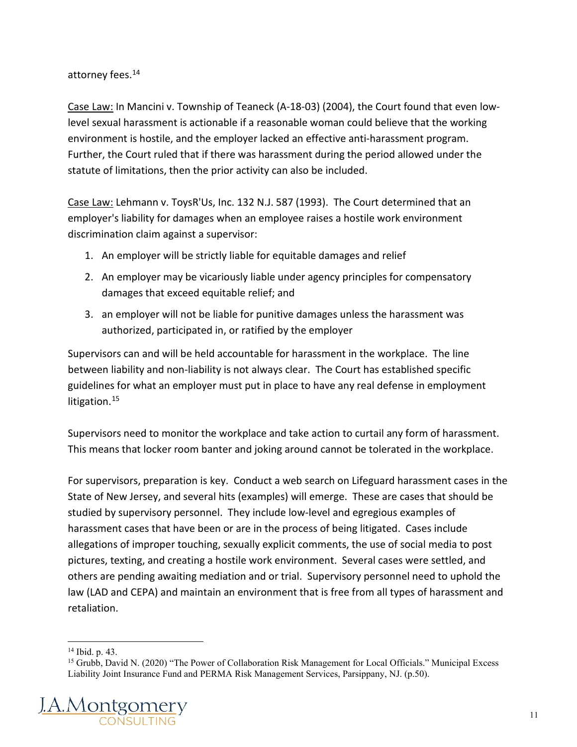attorney fees.<sup>[14](#page-10-0)</sup>

Case Law: In Mancini v. Township of Teaneck (A-18-03) (2004), the Court found that even lowlevel sexual harassment is actionable if a reasonable woman could believe that the working environment is hostile, and the employer lacked an effective anti-harassment program. Further, the Court ruled that if there was harassment during the period allowed under the statute of limitations, then the prior activity can also be included.

Case Law: Lehmann v. ToysR'Us, Inc. 132 N.J. 587 (1993). The Court determined that an employer's liability for damages when an employee raises a hostile work environment discrimination claim against a supervisor:

- 1. An employer will be strictly liable for equitable damages and relief
- 2. An employer may be vicariously liable under agency principles for compensatory damages that exceed equitable relief; and
- 3. an employer will not be liable for punitive damages unless the harassment was authorized, participated in, or ratified by the employer

Supervisors can and will be held accountable for harassment in the workplace. The line between liability and non-liability is not always clear. The Court has established specific guidelines for what an employer must put in place to have any real defense in employment litigation.<sup>[15](#page-10-1)</sup>

Supervisors need to monitor the workplace and take action to curtail any form of harassment. This means that locker room banter and joking around cannot be tolerated in the workplace.

For supervisors, preparation is key. Conduct a web search on Lifeguard harassment cases in the State of New Jersey, and several hits (examples) will emerge. These are cases that should be studied by supervisory personnel. They include low-level and egregious examples of harassment cases that have been or are in the process of being litigated. Cases include allegations of improper touching, sexually explicit comments, the use of social media to post pictures, texting, and creating a hostile work environment. Several cases were settled, and others are pending awaiting mediation and or trial. Supervisory personnel need to uphold the law (LAD and CEPA) and maintain an environment that is free from all types of harassment and retaliation.

<span id="page-10-1"></span><span id="page-10-0"></span><sup>&</sup>lt;sup>15</sup> Grubb, David N. (2020) "The Power of Collaboration Risk Management for Local Officials." Municipal Excess Liability Joint Insurance Fund and PERMA Risk Management Services, Parsippany, NJ. (p.50).



<sup>14</sup> Ibid. p. 43.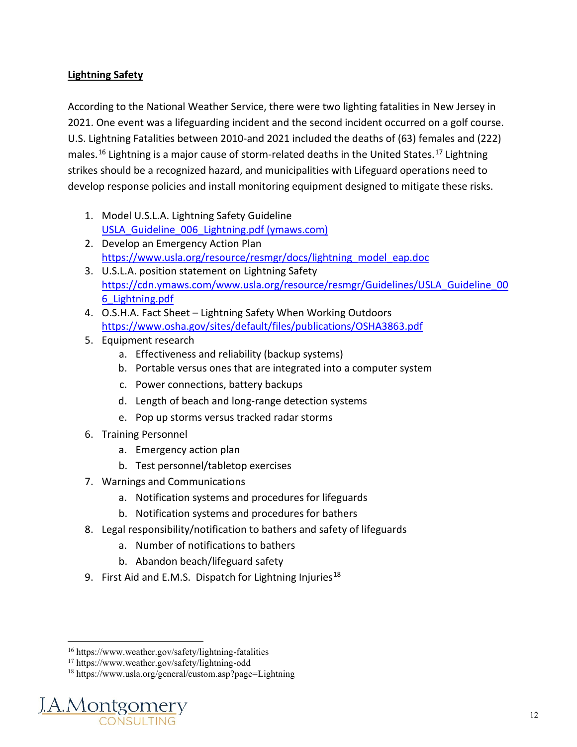#### **Lightning Safety**

According to the National Weather Service, there were two lighting fatalities in New Jersey in 2021. One event was a lifeguarding incident and the second incident occurred on a golf course. U.S. Lightning Fatalities between 2010-and 2021 included the deaths of (63) females and (222) males.<sup>[16](#page-11-0)</sup> Lightning is a major cause of storm-related deaths in the United States.<sup>[17](#page-11-1)</sup> Lightning strikes should be a recognized hazard, and municipalities with Lifeguard operations need to develop response policies and install monitoring equipment designed to mitigate these risks.

- 1. Model U.S.L.A. Lightning Safety Guideline USLA Guideline 006 Lightning.pdf (ymaws.com)
- 2. Develop an Emergency Action Plan [https://www.usla.org/resource/resmgr/docs/lightning\\_model\\_eap.doc](https://www.usla.org/resource/resmgr/docs/lightning_model_eap.doc)
- 3. U.S.L.A. position statement on Lightning Safety [https://cdn.ymaws.com/www.usla.org/resource/resmgr/Guidelines/USLA\\_Guideline\\_00](https://cdn.ymaws.com/www.usla.org/resource/resmgr/Guidelines/USLA_Guideline_006_Lightning.pdf) [6\\_Lightning.pdf](https://cdn.ymaws.com/www.usla.org/resource/resmgr/Guidelines/USLA_Guideline_006_Lightning.pdf)
- 4. O.S.H.A. Fact Sheet Lightning Safety When Working Outdoors <https://www.osha.gov/sites/default/files/publications/OSHA3863.pdf>
- 5. Equipment research
	- a. Effectiveness and reliability (backup systems)
	- b. Portable versus ones that are integrated into a computer system
	- c. Power connections, battery backups
	- d. Length of beach and long-range detection systems
	- e. Pop up storms versus tracked radar storms
- 6. Training Personnel
	- a. Emergency action plan
	- b. Test personnel/tabletop exercises
- 7. Warnings and Communications
	- a. Notification systems and procedures for lifeguards
	- b. Notification systems and procedures for bathers
- 8. Legal responsibility/notification to bathers and safety of lifeguards
	- a. Number of notifications to bathers
	- b. Abandon beach/lifeguard safety
- 9. First Aid and E.M.S. Dispatch for Lightning Injuries<sup>[18](#page-11-2)</sup>

<span id="page-11-2"></span><span id="page-11-1"></span><span id="page-11-0"></span><sup>18</sup> https://www.usla.org/general/custom.asp?page=Lightning



<sup>16</sup> https://www.weather.gov/safety/lightning-fatalities

<sup>17</sup> https://www.weather.gov/safety/lightning-odd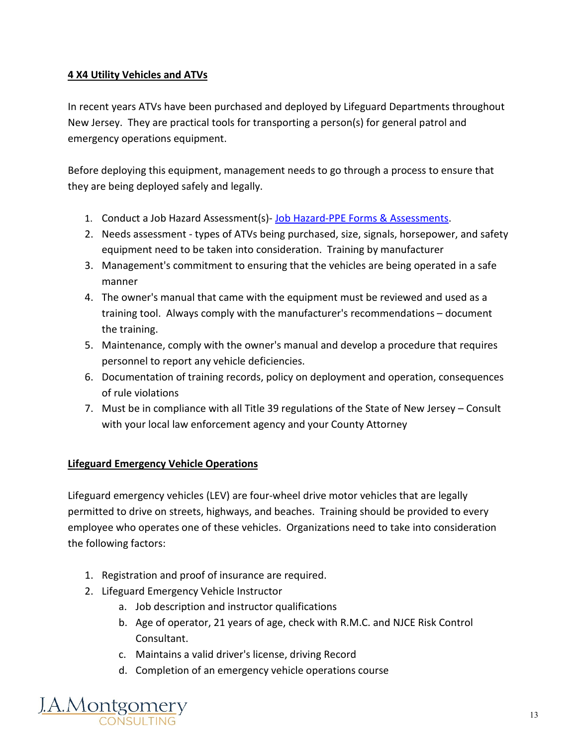#### **4 X4 Utility Vehicles and ATVs**

In recent years ATVs have been purchased and deployed by Lifeguard Departments throughout New Jersey. They are practical tools for transporting a person(s) for general patrol and emergency operations equipment.

Before deploying this equipment, management needs to go through a process to ensure that they are being deployed safely and legally.

- 1. Conduct a Job Hazard Assessment(s)- [Job Hazard-PPE Forms & Assessments.](https://jamontgomery.egnyte.com/fl/Oui8V9qwkc)
- 2. Needs assessment types of ATVs being purchased, size, signals, horsepower, and safety equipment need to be taken into consideration. Training by manufacturer
- 3. Management's commitment to ensuring that the vehicles are being operated in a safe manner
- 4. The owner's manual that came with the equipment must be reviewed and used as a training tool. Always comply with the manufacturer's recommendations – document the training.
- 5. Maintenance, comply with the owner's manual and develop a procedure that requires personnel to report any vehicle deficiencies.
- 6. Documentation of training records, policy on deployment and operation, consequences of rule violations
- 7. Must be in compliance with all Title 39 regulations of the State of New Jersey Consult with your local law enforcement agency and your County Attorney

#### **Lifeguard Emergency Vehicle Operations**

Lifeguard emergency vehicles (LEV) are four-wheel drive motor vehicles that are legally permitted to drive on streets, highways, and beaches. Training should be provided to every employee who operates one of these vehicles. Organizations need to take into consideration the following factors:

- 1. Registration and proof of insurance are required.
- 2. Lifeguard Emergency Vehicle Instructor
	- a. Job description and instructor qualifications
	- b. Age of operator, 21 years of age, check with R.M.C. and NJCE Risk Control Consultant.
	- c. Maintains a valid driver's license, driving Record
	- d. Completion of an emergency vehicle operations course

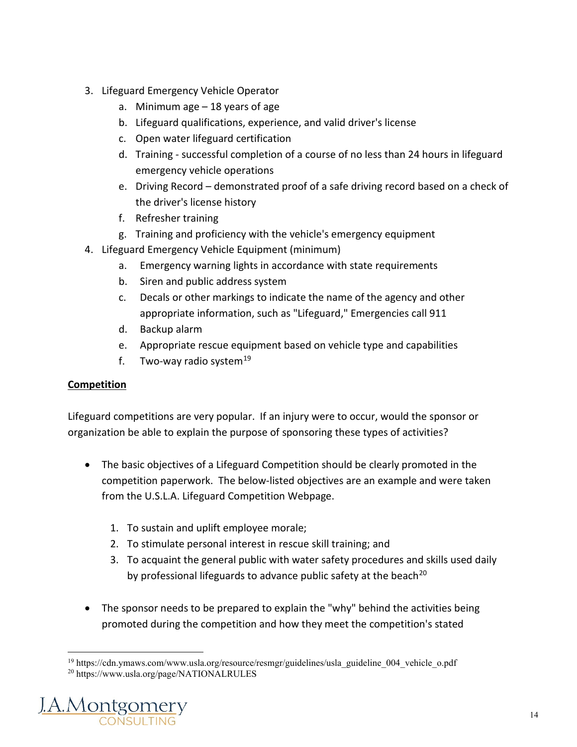- 3. Lifeguard Emergency Vehicle Operator
	- a. Minimum age 18 years of age
	- b. Lifeguard qualifications, experience, and valid driver's license
	- c. Open water lifeguard certification
	- d. Training successful completion of a course of no less than 24 hours in lifeguard emergency vehicle operations
	- e. Driving Record demonstrated proof of a safe driving record based on a check of the driver's license history
	- f. Refresher training
	- g. Training and proficiency with the vehicle's emergency equipment
- 4. Lifeguard Emergency Vehicle Equipment (minimum)
	- a. Emergency warning lights in accordance with state requirements
	- b. Siren and public address system
	- c. Decals or other markings to indicate the name of the agency and other appropriate information, such as "Lifeguard," Emergencies call 911
	- d. Backup alarm
	- e. Appropriate rescue equipment based on vehicle type and capabilities
	- f. Two-way radio system<sup>[19](#page-13-0)</sup>

#### **Competition**

Lifeguard competitions are very popular. If an injury were to occur, would the sponsor or organization be able to explain the purpose of sponsoring these types of activities?

- The basic objectives of a Lifeguard Competition should be clearly promoted in the competition paperwork. The below-listed objectives are an example and were taken from the U.S.L.A. Lifeguard Competition Webpage.
	- 1. To sustain and uplift employee morale;
	- 2. To stimulate personal interest in rescue skill training; and
	- 3. To acquaint the general public with water safety procedures and skills used daily by professional lifeguards to advance public safety at the beach<sup>[20](#page-13-1)</sup>
- The sponsor needs to be prepared to explain the "why" behind the activities being promoted during the competition and how they meet the competition's stated

<span id="page-13-1"></span><span id="page-13-0"></span><sup>20</sup> https://www.usla.org/page/NATIONALRULES



<sup>&</sup>lt;sup>19</sup> https://cdn.ymaws.com/www.usla.org/resource/resmgr/guidelines/usla\_guideline\_004\_vehicle\_o.pdf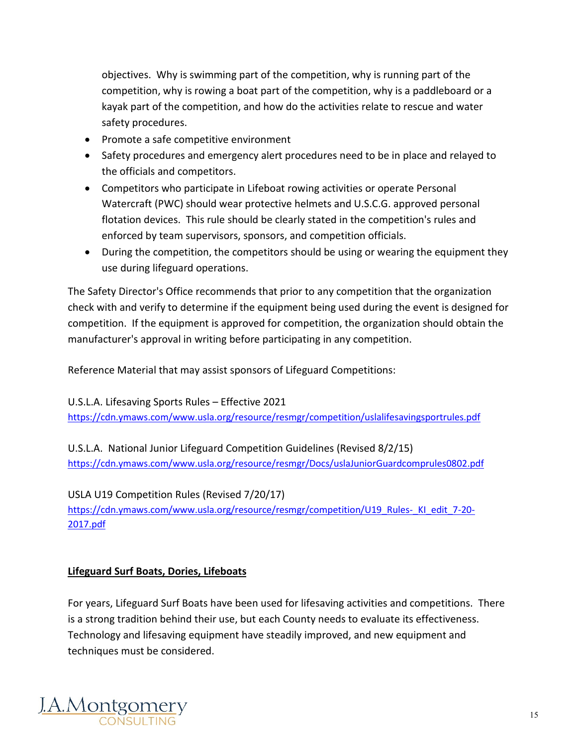objectives. Why is swimming part of the competition, why is running part of the competition, why is rowing a boat part of the competition, why is a paddleboard or a kayak part of the competition, and how do the activities relate to rescue and water safety procedures.

- Promote a safe competitive environment
- Safety procedures and emergency alert procedures need to be in place and relayed to the officials and competitors.
- Competitors who participate in Lifeboat rowing activities or operate Personal Watercraft (PWC) should wear protective helmets and U.S.C.G. approved personal flotation devices. This rule should be clearly stated in the competition's rules and enforced by team supervisors, sponsors, and competition officials.
- During the competition, the competitors should be using or wearing the equipment they use during lifeguard operations.

The Safety Director's Office recommends that prior to any competition that the organization check with and verify to determine if the equipment being used during the event is designed for competition. If the equipment is approved for competition, the organization should obtain the manufacturer's approval in writing before participating in any competition.

Reference Material that may assist sponsors of Lifeguard Competitions:

U.S.L.A. Lifesaving Sports Rules – Effective 2021 <https://cdn.ymaws.com/www.usla.org/resource/resmgr/competition/uslalifesavingsportrules.pdf>

U.S.L.A. National Junior Lifeguard Competition Guidelines (Revised 8/2/15) <https://cdn.ymaws.com/www.usla.org/resource/resmgr/Docs/uslaJuniorGuardcomprules0802.pdf>

USLA U19 Competition Rules (Revised 7/20/17) https://cdn.ymaws.com/www.usla.org/resource/resmgr/competition/U19 Rules- KI edit 7-20-[2017.pdf](https://cdn.ymaws.com/www.usla.org/resource/resmgr/competition/U19_Rules-_KI_edit_7-20-2017.pdf)

#### **Lifeguard Surf Boats, Dories, Lifeboats**

For years, Lifeguard Surf Boats have been used for lifesaving activities and competitions. There is a strong tradition behind their use, but each County needs to evaluate its effectiveness. Technology and lifesaving equipment have steadily improved, and new equipment and techniques must be considered.

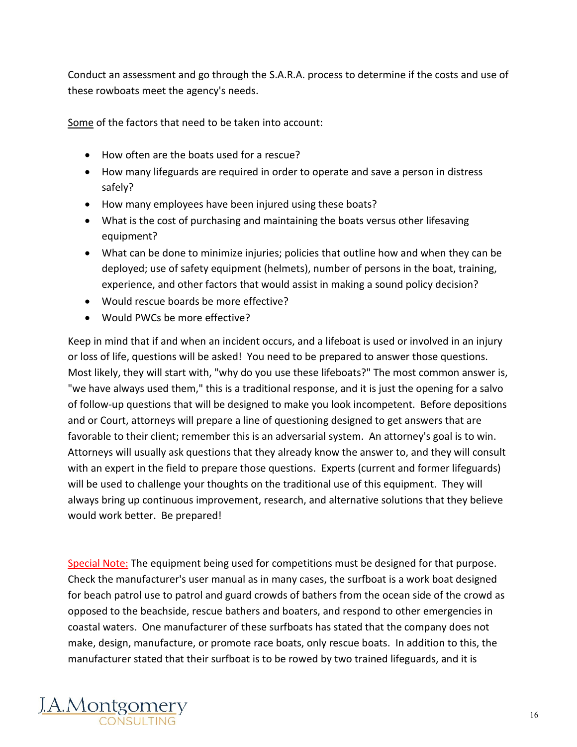Conduct an assessment and go through the S.A.R.A. process to determine if the costs and use of these rowboats meet the agency's needs.

Some of the factors that need to be taken into account:

- How often are the boats used for a rescue?
- How many lifeguards are required in order to operate and save a person in distress safely?
- How many employees have been injured using these boats?
- What is the cost of purchasing and maintaining the boats versus other lifesaving equipment?
- What can be done to minimize injuries; policies that outline how and when they can be deployed; use of safety equipment (helmets), number of persons in the boat, training, experience, and other factors that would assist in making a sound policy decision?
- Would rescue boards be more effective?
- Would PWCs be more effective?

Keep in mind that if and when an incident occurs, and a lifeboat is used or involved in an injury or loss of life, questions will be asked! You need to be prepared to answer those questions. Most likely, they will start with, "why do you use these lifeboats?" The most common answer is, "we have always used them," this is a traditional response, and it is just the opening for a salvo of follow-up questions that will be designed to make you look incompetent. Before depositions and or Court, attorneys will prepare a line of questioning designed to get answers that are favorable to their client; remember this is an adversarial system. An attorney's goal is to win. Attorneys will usually ask questions that they already know the answer to, and they will consult with an expert in the field to prepare those questions. Experts (current and former lifeguards) will be used to challenge your thoughts on the traditional use of this equipment. They will always bring up continuous improvement, research, and alternative solutions that they believe would work better. Be prepared!

Special Note: The equipment being used for competitions must be designed for that purpose. Check the manufacturer's user manual as in many cases, the surfboat is a work boat designed for beach patrol use to patrol and guard crowds of bathers from the ocean side of the crowd as opposed to the beachside, rescue bathers and boaters, and respond to other emergencies in coastal waters. One manufacturer of these surfboats has stated that the company does not make, design, manufacture, or promote race boats, only rescue boats. In addition to this, the manufacturer stated that their surfboat is to be rowed by two trained lifeguards, and it is

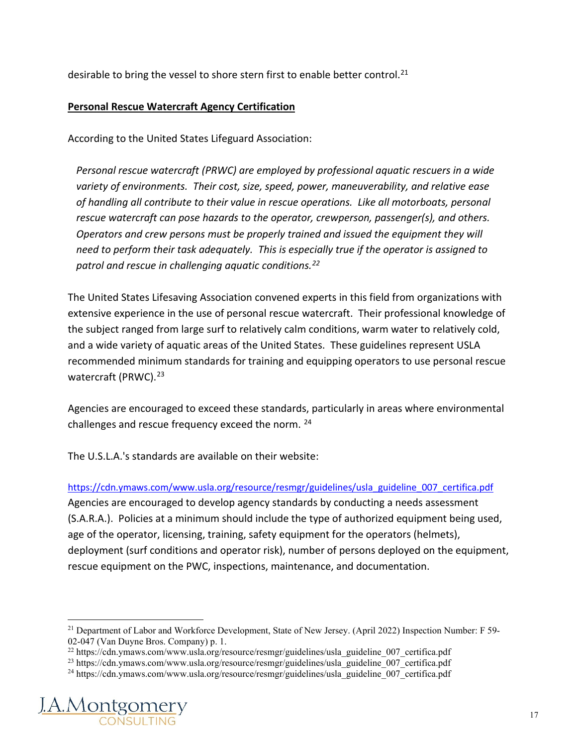desirable to bring the vessel to shore stern first to enable better control.<sup>[21](#page-16-0)</sup>

#### **Personal Rescue Watercraft Agency Certification**

According to the United States Lifeguard Association:

*Personal rescue watercraft (PRWC) are employed by professional aquatic rescuers in a wide variety of environments. Their cost, size, speed, power, maneuverability, and relative ease of handling all contribute to their value in rescue operations. Like all motorboats, personal rescue watercraft can pose hazards to the operator, crewperson, passenger(s), and others. Operators and crew persons must be properly trained and issued the equipment they will need to perform their task adequately. This is especially true if the operator is assigned to patrol and rescue in challenging aquatic conditions.[22](#page-16-1)*

The United States Lifesaving Association convened experts in this field from organizations with extensive experience in the use of personal rescue watercraft. Their professional knowledge of the subject ranged from large surf to relatively calm conditions, warm water to relatively cold, and a wide variety of aquatic areas of the United States. These guidelines represent USLA recommended minimum standards for training and equipping operators to use personal rescue watercraft (PRWC).<sup>[23](#page-16-2)</sup>

Agencies are encouraged to exceed these standards, particularly in areas where environmental challenges and rescue frequency exceed the norm. [24](#page-16-3)

The U.S.L.A.'s standards are available on their website:

[https://cdn.ymaws.com/www.usla.org/resource/resmgr/guidelines/usla\\_guideline\\_007\\_certifica.pdf](https://cdn.ymaws.com/www.usla.org/resource/resmgr/guidelines/usla_guideline_007_certifica.pdf) Agencies are encouraged to develop agency standards by conducting a needs assessment (S.A.R.A.). Policies at a minimum should include the type of authorized equipment being used, age of the operator, licensing, training, safety equipment for the operators (helmets), deployment (surf conditions and operator risk), number of persons deployed on the equipment, rescue equipment on the PWC, inspections, maintenance, and documentation.

<span id="page-16-3"></span><span id="page-16-2"></span><span id="page-16-1"></span><span id="page-16-0"></span><sup>&</sup>lt;sup>24</sup> https://cdn.ymaws.com/www.usla.org/resource/resmgr/guidelines/usla\_guideline<sup>-007-</sup>certifica.pdf



<sup>&</sup>lt;sup>21</sup> Department of Labor and Workforce Development, State of New Jersey. (April 2022) Inspection Number: F 59-02-047 (Van Duyne Bros. Company) p. 1.<br><sup>22</sup> https://cdn.ymaws.com/www.usla.org/resource/resmgr/guidelines/usla\_guideline\_007\_certifica.pdf

<sup>&</sup>lt;sup>23</sup> https://cdn.ymaws.com/www.usla.org/resource/resmgr/guidelines/usla\_guideline\_007\_certifica.pdf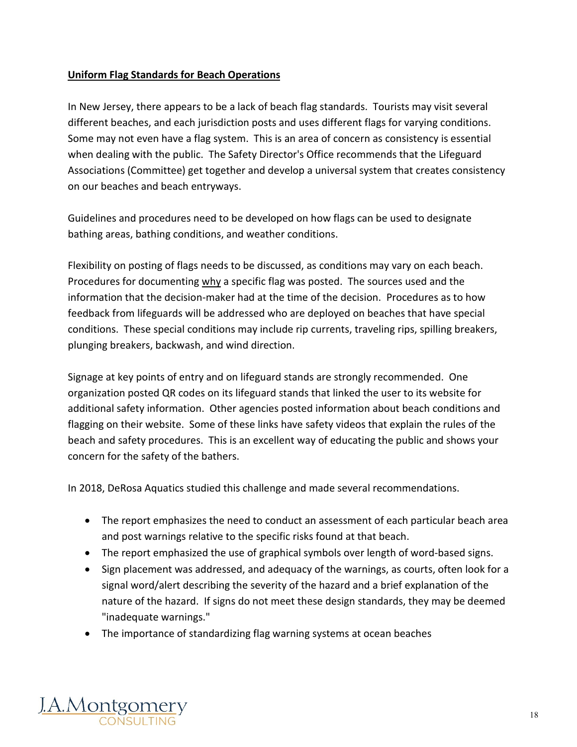#### **Uniform Flag Standards for Beach Operations**

In New Jersey, there appears to be a lack of beach flag standards. Tourists may visit several different beaches, and each jurisdiction posts and uses different flags for varying conditions. Some may not even have a flag system. This is an area of concern as consistency is essential when dealing with the public. The Safety Director's Office recommends that the Lifeguard Associations (Committee) get together and develop a universal system that creates consistency on our beaches and beach entryways.

Guidelines and procedures need to be developed on how flags can be used to designate bathing areas, bathing conditions, and weather conditions.

Flexibility on posting of flags needs to be discussed, as conditions may vary on each beach. Procedures for documenting why a specific flag was posted. The sources used and the information that the decision-maker had at the time of the decision. Procedures as to how feedback from lifeguards will be addressed who are deployed on beaches that have special conditions. These special conditions may include rip currents, traveling rips, spilling breakers, plunging breakers, backwash, and wind direction.

Signage at key points of entry and on lifeguard stands are strongly recommended. One organization posted QR codes on its lifeguard stands that linked the user to its website for additional safety information. Other agencies posted information about beach conditions and flagging on their website. Some of these links have safety videos that explain the rules of the beach and safety procedures. This is an excellent way of educating the public and shows your concern for the safety of the bathers.

In 2018, DeRosa Aquatics studied this challenge and made several recommendations.

- The report emphasizes the need to conduct an assessment of each particular beach area and post warnings relative to the specific risks found at that beach.
- The report emphasized the use of graphical symbols over length of word-based signs.
- Sign placement was addressed, and adequacy of the warnings, as courts, often look for a signal word/alert describing the severity of the hazard and a brief explanation of the nature of the hazard. If signs do not meet these design standards, they may be deemed "inadequate warnings."
- The importance of standardizing flag warning systems at ocean beaches

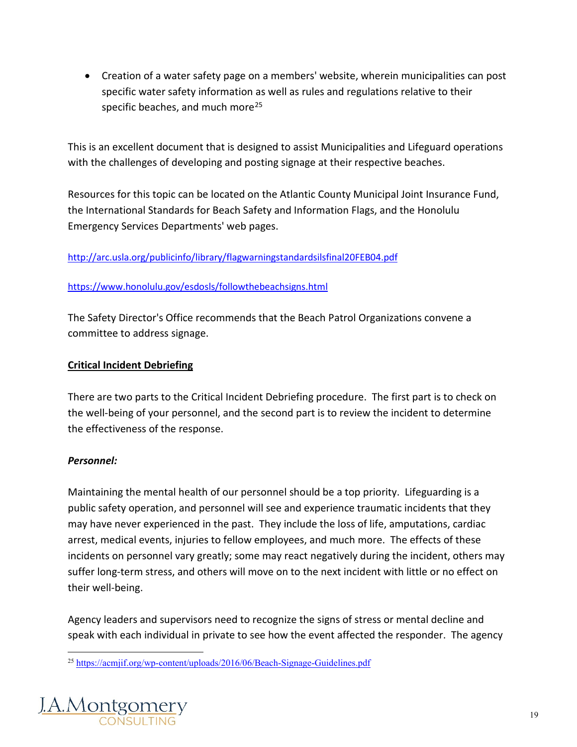• Creation of a water safety page on a members' website, wherein municipalities can post specific water safety information as well as rules and regulations relative to their specific beaches, and much more<sup>25</sup>

This is an excellent document that is designed to assist Municipalities and Lifeguard operations with the challenges of developing and posting signage at their respective beaches.

Resources for this topic can be located on the Atlantic County Municipal Joint Insurance Fund, the International Standards for Beach Safety and Information Flags, and the Honolulu Emergency Services Departments' web pages.

<http://arc.usla.org/publicinfo/library/flagwarningstandardsilsfinal20FEB04.pdf>

#### <https://www.honolulu.gov/esdosls/followthebeachsigns.html>

The Safety Director's Office recommends that the Beach Patrol Organizations convene a committee to address signage.

#### **Critical Incident Debriefing**

There are two parts to the Critical Incident Debriefing procedure. The first part is to check on the well-being of your personnel, and the second part is to review the incident to determine the effectiveness of the response.

#### *Personnel:*

Maintaining the mental health of our personnel should be a top priority. Lifeguarding is a public safety operation, and personnel will see and experience traumatic incidents that they may have never experienced in the past. They include the loss of life, amputations, cardiac arrest, medical events, injuries to fellow employees, and much more. The effects of these incidents on personnel vary greatly; some may react negatively during the incident, others may suffer long-term stress, and others will move on to the next incident with little or no effect on their well-being.

Agency leaders and supervisors need to recognize the signs of stress or mental decline and speak with each individual in private to see how the event affected the responder. The agency

<span id="page-18-0"></span><sup>25</sup> <https://acmjif.org/wp-content/uploads/2016/06/Beach-Signage-Guidelines.pdf>